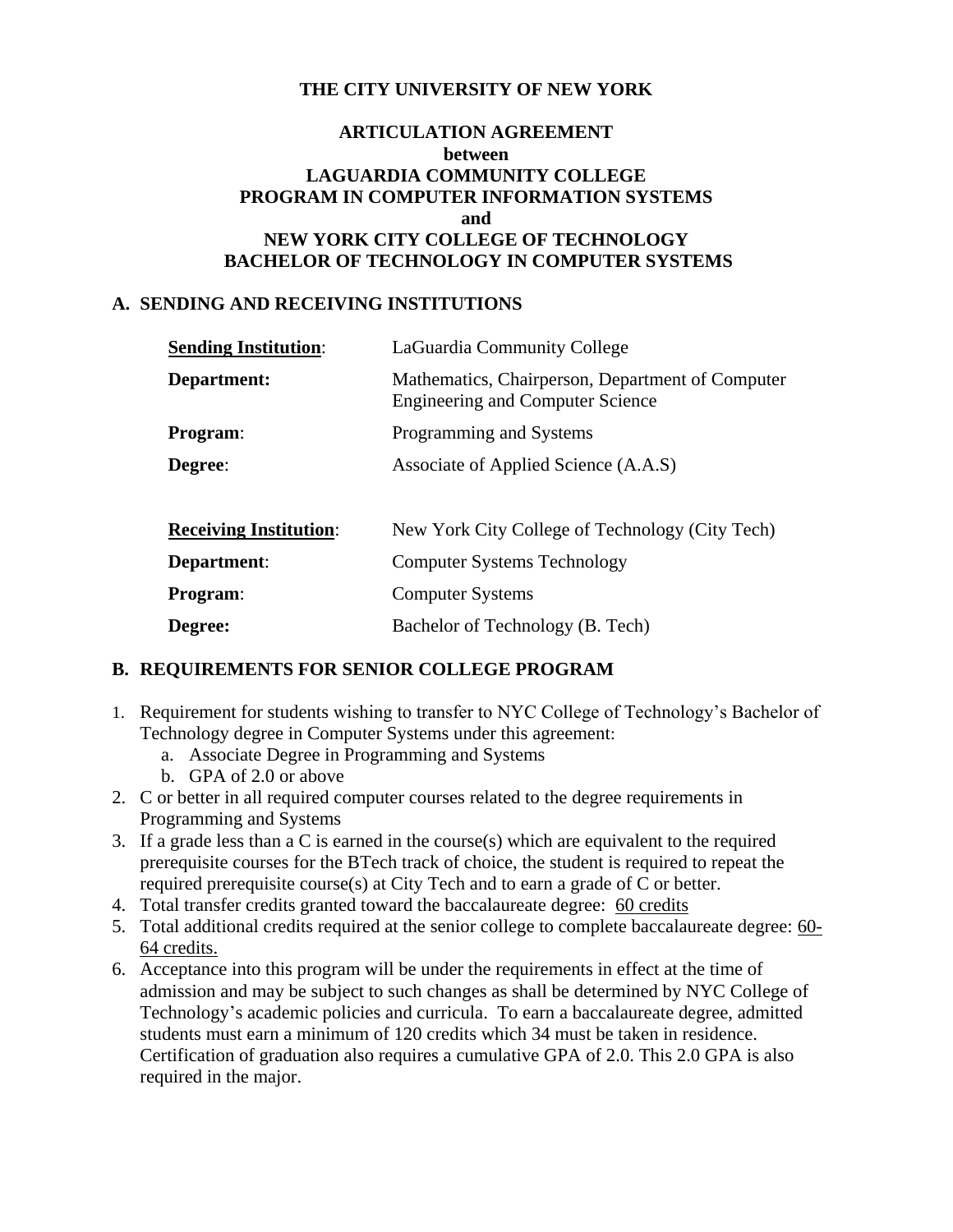## **THE CITY UNIVERSITY OF NEW YORK**

## **ARTICULATION AGREEMENT between LAGUARDIA COMMUNITY COLLEGE PROGRAM IN COMPUTER INFORMATION SYSTEMS and NEW YORK CITY COLLEGE OF TECHNOLOGY BACHELOR OF TECHNOLOGY IN COMPUTER SYSTEMS**

#### **A. SENDING AND RECEIVING INSTITUTIONS**

| <b>Sending Institution:</b>   | LaGuardia Community College                                                                 |  |  |  |
|-------------------------------|---------------------------------------------------------------------------------------------|--|--|--|
| Department:                   | Mathematics, Chairperson, Department of Computer<br><b>Engineering and Computer Science</b> |  |  |  |
| Program:                      | Programming and Systems                                                                     |  |  |  |
| Degree:                       | Associate of Applied Science (A.A.S)                                                        |  |  |  |
| <b>Receiving Institution:</b> | New York City College of Technology (City Tech)                                             |  |  |  |
| Department:                   | <b>Computer Systems Technology</b>                                                          |  |  |  |
| <b>Program:</b>               | <b>Computer Systems</b>                                                                     |  |  |  |
| Degree:                       | Bachelor of Technology (B. Tech)                                                            |  |  |  |

### **B. REQUIREMENTS FOR SENIOR COLLEGE PROGRAM**

- 1. Requirement for students wishing to transfer to NYC College of Technology's Bachelor of Technology degree in Computer Systems under this agreement:
	- a. Associate Degree in Programming and Systems
	- b. GPA of 2.0 or above
- 2. C or better in all required computer courses related to the degree requirements in Programming and Systems
- 3. If a grade less than a C is earned in the course (s) which are equivalent to the required prerequisite courses for the BTech track of choice, the student is required to repeat the required prerequisite course(s) at City Tech and to earn a grade of C or better.
- 4. Total transfer credits granted toward the baccalaureate degree: 60 credits
- 5. Total additional credits required at the senior college to complete baccalaureate degree: 60- 64 credits.
- 6. Acceptance into this program will be under the requirements in effect at the time of admission and may be subject to such changes as shall be determined by NYC College of Technology's academic policies and curricula. To earn a baccalaureate degree, admitted students must earn a minimum of 120 credits which 34 must be taken in residence. Certification of graduation also requires a cumulative GPA of 2.0. This 2.0 GPA is also required in the major.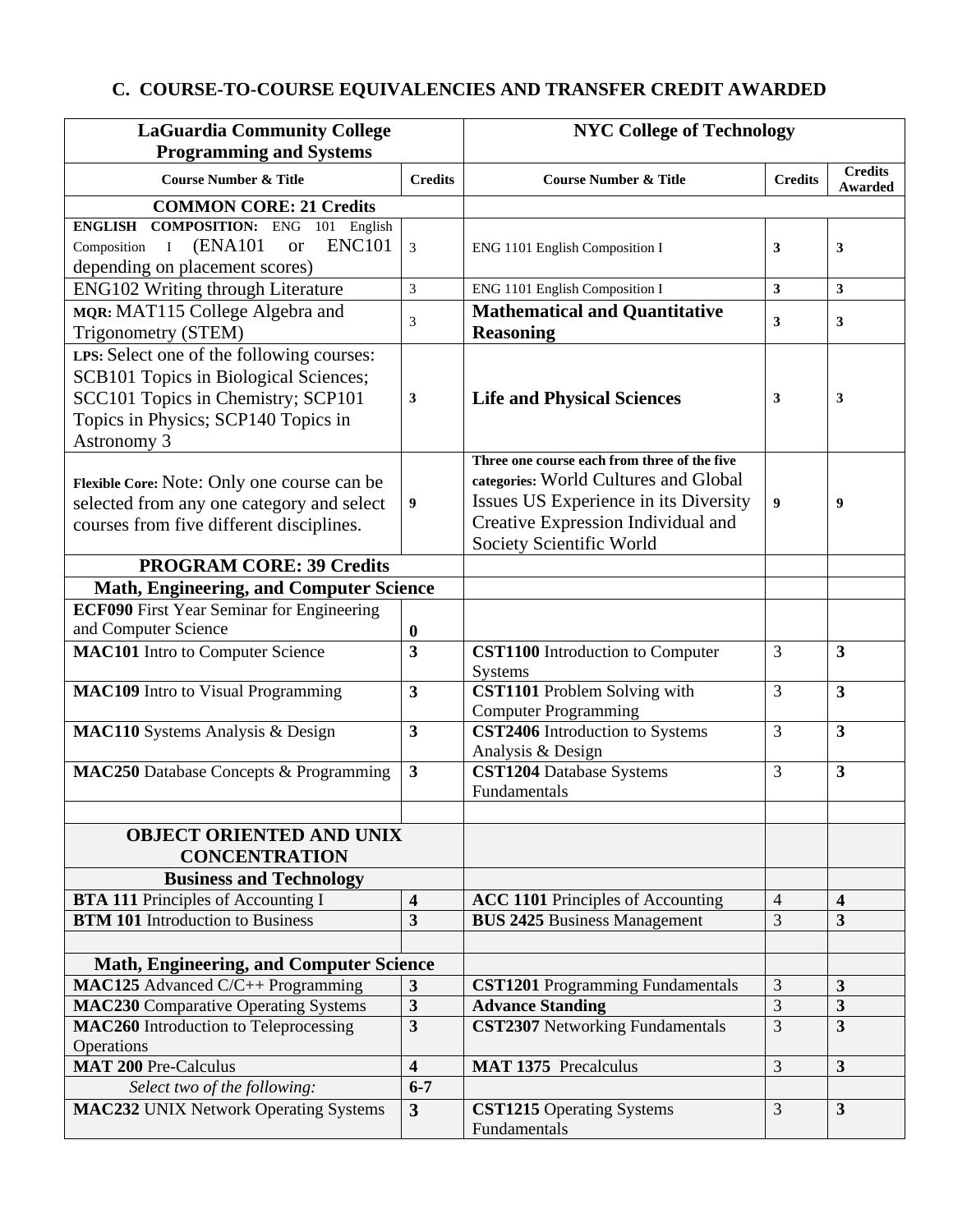## **C. COURSE-TO-COURSE EQUIVALENCIES AND TRANSFER CREDIT AWARDED**

| <b>Credits</b><br><b>Course Number &amp; Title</b><br><b>Credits</b><br><b>Course Number &amp; Title</b><br><b>Credits</b><br>Awarded<br><b>COMMON CORE: 21 Credits</b><br><b>ENGLISH COMPOSITION: ENG 101 English</b><br><b>ENC101</b><br><b>(ENA101)</b><br>Composition I<br><b>or</b><br>$\mathfrak{Z}$<br>3<br>3<br>ENG 1101 English Composition I<br>depending on placement scores)<br>ENG102 Writing through Literature<br>3<br>ENG 1101 English Composition I<br>3<br>3<br>MQR: MAT115 College Algebra and<br><b>Mathematical and Quantitative</b><br>3<br>$\mathbf{3}$<br>3<br><b>Reasoning</b><br>Trigonometry (STEM)<br>LPS: Select one of the following courses:<br>SCB101 Topics in Biological Sciences;<br>SCC101 Topics in Chemistry; SCP101<br>3<br><b>Life and Physical Sciences</b><br>3<br>3<br>Topics in Physics; SCP140 Topics in<br>Astronomy 3<br>Three one course each from three of the five<br>categories: World Cultures and Global<br>Flexible Core: Note: Only one course can be<br>Issues US Experience in its Diversity<br>$\boldsymbol{9}$<br>selected from any one category and select<br>9<br>9<br>Creative Expression Individual and<br>courses from five different disciplines.<br>Society Scientific World<br><b>PROGRAM CORE: 39 Credits</b><br>Math, Engineering, and Computer Science<br><b>ECF090</b> First Year Seminar for Engineering<br>and Computer Science<br>$\boldsymbol{0}$<br>$\overline{\mathbf{3}}$<br><b>MAC101</b> Intro to Computer Science<br><b>CST1100</b> Introduction to Computer<br>3<br>$\mathbf{3}$<br>Systems<br><b>CST1101</b> Problem Solving with<br><b>MAC109</b> Intro to Visual Programming<br>$\overline{\mathbf{3}}$<br>3<br>$\overline{\mathbf{3}}$<br><b>Computer Programming</b><br>CST2406 Introduction to Systems<br>3<br>$\overline{\mathbf{3}}$<br>MAC110 Systems Analysis & Design<br>$\mathbf{3}$<br>Analysis & Design<br>$\overline{\mathbf{3}}$<br>3<br><b>CST1204</b> Database Systems<br>$\mathbf{3}$<br><b>MAC250</b> Database Concepts & Programming<br>Fundamentals<br><b>OBJECT ORIENTED AND UNIX</b><br><b>CONCENTRATION</b><br><b>Business and Technology</b><br><b>BTA 111 Principles of Accounting I</b><br>$\overline{\mathbf{4}}$<br>$\overline{\mathbf{4}}$<br><b>ACC 1101</b> Principles of Accounting<br>$\overline{4}$<br><b>BTM 101</b> Introduction to Business<br>$\overline{\mathbf{3}}$<br><b>BUS 2425 Business Management</b><br>3<br>$\mathbf{3}$<br><b>Math, Engineering, and Computer Science</b><br>MAC125 Advanced C/C++ Programming<br>3<br>$\mathbf{3}$<br>$\mathbf{3}$<br><b>CST1201</b> Programming Fundamentals<br>$\overline{3}$<br>$\mathbf{3}$<br>$\mathbf{3}$<br><b>MAC230</b> Comparative Operating Systems<br><b>Advance Standing</b><br>$\overline{\mathbf{3}}$<br><b>CST2307</b> Networking Fundamentals<br>3<br>$\overline{\mathbf{3}}$<br>MAC260 Introduction to Teleprocessing<br>Operations<br><b>MAT 200 Pre-Calculus</b><br>$\overline{3}$<br>$\overline{\mathbf{3}}$<br>$\overline{\mathbf{4}}$<br><b>MAT 1375</b> Precalculus<br>$6 - 7$<br>Select two of the following:<br><b>MAC232 UNIX Network Operating Systems</b><br>3<br>$\mathbf{3}$<br>$\mathbf{3}$<br><b>CST1215</b> Operating Systems<br>Fundamentals | <b>LaGuardia Community College</b> |  | <b>NYC College of Technology</b> |  |  |
|------------------------------------------------------------------------------------------------------------------------------------------------------------------------------------------------------------------------------------------------------------------------------------------------------------------------------------------------------------------------------------------------------------------------------------------------------------------------------------------------------------------------------------------------------------------------------------------------------------------------------------------------------------------------------------------------------------------------------------------------------------------------------------------------------------------------------------------------------------------------------------------------------------------------------------------------------------------------------------------------------------------------------------------------------------------------------------------------------------------------------------------------------------------------------------------------------------------------------------------------------------------------------------------------------------------------------------------------------------------------------------------------------------------------------------------------------------------------------------------------------------------------------------------------------------------------------------------------------------------------------------------------------------------------------------------------------------------------------------------------------------------------------------------------------------------------------------------------------------------------------------------------------------------------------------------------------------------------------------------------------------------------------------------------------------------------------------------------------------------------------------------------------------------------------------------------------------------------------------------------------------------------------------------------------------------------------------------------------------------------------------------------------------------------------------------------------------------------------------------------------------------------------------------------------------------------------------------------------------------------------------------------------------------------------------------------------------------------------------------------------------------------------------------------------------------------------------------------------------------------------------------------------------------------------------------------------------------------------------------------------------------------------------------------------------------------------------------------------------------------------------------------------------------------------------------------------------------------------------------------------|------------------------------------|--|----------------------------------|--|--|
|                                                                                                                                                                                                                                                                                                                                                                                                                                                                                                                                                                                                                                                                                                                                                                                                                                                                                                                                                                                                                                                                                                                                                                                                                                                                                                                                                                                                                                                                                                                                                                                                                                                                                                                                                                                                                                                                                                                                                                                                                                                                                                                                                                                                                                                                                                                                                                                                                                                                                                                                                                                                                                                                                                                                                                                                                                                                                                                                                                                                                                                                                                                                                                                                                                                      | <b>Programming and Systems</b>     |  |                                  |  |  |
|                                                                                                                                                                                                                                                                                                                                                                                                                                                                                                                                                                                                                                                                                                                                                                                                                                                                                                                                                                                                                                                                                                                                                                                                                                                                                                                                                                                                                                                                                                                                                                                                                                                                                                                                                                                                                                                                                                                                                                                                                                                                                                                                                                                                                                                                                                                                                                                                                                                                                                                                                                                                                                                                                                                                                                                                                                                                                                                                                                                                                                                                                                                                                                                                                                                      |                                    |  |                                  |  |  |
|                                                                                                                                                                                                                                                                                                                                                                                                                                                                                                                                                                                                                                                                                                                                                                                                                                                                                                                                                                                                                                                                                                                                                                                                                                                                                                                                                                                                                                                                                                                                                                                                                                                                                                                                                                                                                                                                                                                                                                                                                                                                                                                                                                                                                                                                                                                                                                                                                                                                                                                                                                                                                                                                                                                                                                                                                                                                                                                                                                                                                                                                                                                                                                                                                                                      |                                    |  |                                  |  |  |
|                                                                                                                                                                                                                                                                                                                                                                                                                                                                                                                                                                                                                                                                                                                                                                                                                                                                                                                                                                                                                                                                                                                                                                                                                                                                                                                                                                                                                                                                                                                                                                                                                                                                                                                                                                                                                                                                                                                                                                                                                                                                                                                                                                                                                                                                                                                                                                                                                                                                                                                                                                                                                                                                                                                                                                                                                                                                                                                                                                                                                                                                                                                                                                                                                                                      |                                    |  |                                  |  |  |
|                                                                                                                                                                                                                                                                                                                                                                                                                                                                                                                                                                                                                                                                                                                                                                                                                                                                                                                                                                                                                                                                                                                                                                                                                                                                                                                                                                                                                                                                                                                                                                                                                                                                                                                                                                                                                                                                                                                                                                                                                                                                                                                                                                                                                                                                                                                                                                                                                                                                                                                                                                                                                                                                                                                                                                                                                                                                                                                                                                                                                                                                                                                                                                                                                                                      |                                    |  |                                  |  |  |
|                                                                                                                                                                                                                                                                                                                                                                                                                                                                                                                                                                                                                                                                                                                                                                                                                                                                                                                                                                                                                                                                                                                                                                                                                                                                                                                                                                                                                                                                                                                                                                                                                                                                                                                                                                                                                                                                                                                                                                                                                                                                                                                                                                                                                                                                                                                                                                                                                                                                                                                                                                                                                                                                                                                                                                                                                                                                                                                                                                                                                                                                                                                                                                                                                                                      |                                    |  |                                  |  |  |
|                                                                                                                                                                                                                                                                                                                                                                                                                                                                                                                                                                                                                                                                                                                                                                                                                                                                                                                                                                                                                                                                                                                                                                                                                                                                                                                                                                                                                                                                                                                                                                                                                                                                                                                                                                                                                                                                                                                                                                                                                                                                                                                                                                                                                                                                                                                                                                                                                                                                                                                                                                                                                                                                                                                                                                                                                                                                                                                                                                                                                                                                                                                                                                                                                                                      |                                    |  |                                  |  |  |
|                                                                                                                                                                                                                                                                                                                                                                                                                                                                                                                                                                                                                                                                                                                                                                                                                                                                                                                                                                                                                                                                                                                                                                                                                                                                                                                                                                                                                                                                                                                                                                                                                                                                                                                                                                                                                                                                                                                                                                                                                                                                                                                                                                                                                                                                                                                                                                                                                                                                                                                                                                                                                                                                                                                                                                                                                                                                                                                                                                                                                                                                                                                                                                                                                                                      |                                    |  |                                  |  |  |
|                                                                                                                                                                                                                                                                                                                                                                                                                                                                                                                                                                                                                                                                                                                                                                                                                                                                                                                                                                                                                                                                                                                                                                                                                                                                                                                                                                                                                                                                                                                                                                                                                                                                                                                                                                                                                                                                                                                                                                                                                                                                                                                                                                                                                                                                                                                                                                                                                                                                                                                                                                                                                                                                                                                                                                                                                                                                                                                                                                                                                                                                                                                                                                                                                                                      |                                    |  |                                  |  |  |
|                                                                                                                                                                                                                                                                                                                                                                                                                                                                                                                                                                                                                                                                                                                                                                                                                                                                                                                                                                                                                                                                                                                                                                                                                                                                                                                                                                                                                                                                                                                                                                                                                                                                                                                                                                                                                                                                                                                                                                                                                                                                                                                                                                                                                                                                                                                                                                                                                                                                                                                                                                                                                                                                                                                                                                                                                                                                                                                                                                                                                                                                                                                                                                                                                                                      |                                    |  |                                  |  |  |
|                                                                                                                                                                                                                                                                                                                                                                                                                                                                                                                                                                                                                                                                                                                                                                                                                                                                                                                                                                                                                                                                                                                                                                                                                                                                                                                                                                                                                                                                                                                                                                                                                                                                                                                                                                                                                                                                                                                                                                                                                                                                                                                                                                                                                                                                                                                                                                                                                                                                                                                                                                                                                                                                                                                                                                                                                                                                                                                                                                                                                                                                                                                                                                                                                                                      |                                    |  |                                  |  |  |
|                                                                                                                                                                                                                                                                                                                                                                                                                                                                                                                                                                                                                                                                                                                                                                                                                                                                                                                                                                                                                                                                                                                                                                                                                                                                                                                                                                                                                                                                                                                                                                                                                                                                                                                                                                                                                                                                                                                                                                                                                                                                                                                                                                                                                                                                                                                                                                                                                                                                                                                                                                                                                                                                                                                                                                                                                                                                                                                                                                                                                                                                                                                                                                                                                                                      |                                    |  |                                  |  |  |
|                                                                                                                                                                                                                                                                                                                                                                                                                                                                                                                                                                                                                                                                                                                                                                                                                                                                                                                                                                                                                                                                                                                                                                                                                                                                                                                                                                                                                                                                                                                                                                                                                                                                                                                                                                                                                                                                                                                                                                                                                                                                                                                                                                                                                                                                                                                                                                                                                                                                                                                                                                                                                                                                                                                                                                                                                                                                                                                                                                                                                                                                                                                                                                                                                                                      |                                    |  |                                  |  |  |
|                                                                                                                                                                                                                                                                                                                                                                                                                                                                                                                                                                                                                                                                                                                                                                                                                                                                                                                                                                                                                                                                                                                                                                                                                                                                                                                                                                                                                                                                                                                                                                                                                                                                                                                                                                                                                                                                                                                                                                                                                                                                                                                                                                                                                                                                                                                                                                                                                                                                                                                                                                                                                                                                                                                                                                                                                                                                                                                                                                                                                                                                                                                                                                                                                                                      |                                    |  |                                  |  |  |
|                                                                                                                                                                                                                                                                                                                                                                                                                                                                                                                                                                                                                                                                                                                                                                                                                                                                                                                                                                                                                                                                                                                                                                                                                                                                                                                                                                                                                                                                                                                                                                                                                                                                                                                                                                                                                                                                                                                                                                                                                                                                                                                                                                                                                                                                                                                                                                                                                                                                                                                                                                                                                                                                                                                                                                                                                                                                                                                                                                                                                                                                                                                                                                                                                                                      |                                    |  |                                  |  |  |
|                                                                                                                                                                                                                                                                                                                                                                                                                                                                                                                                                                                                                                                                                                                                                                                                                                                                                                                                                                                                                                                                                                                                                                                                                                                                                                                                                                                                                                                                                                                                                                                                                                                                                                                                                                                                                                                                                                                                                                                                                                                                                                                                                                                                                                                                                                                                                                                                                                                                                                                                                                                                                                                                                                                                                                                                                                                                                                                                                                                                                                                                                                                                                                                                                                                      |                                    |  |                                  |  |  |
|                                                                                                                                                                                                                                                                                                                                                                                                                                                                                                                                                                                                                                                                                                                                                                                                                                                                                                                                                                                                                                                                                                                                                                                                                                                                                                                                                                                                                                                                                                                                                                                                                                                                                                                                                                                                                                                                                                                                                                                                                                                                                                                                                                                                                                                                                                                                                                                                                                                                                                                                                                                                                                                                                                                                                                                                                                                                                                                                                                                                                                                                                                                                                                                                                                                      |                                    |  |                                  |  |  |
|                                                                                                                                                                                                                                                                                                                                                                                                                                                                                                                                                                                                                                                                                                                                                                                                                                                                                                                                                                                                                                                                                                                                                                                                                                                                                                                                                                                                                                                                                                                                                                                                                                                                                                                                                                                                                                                                                                                                                                                                                                                                                                                                                                                                                                                                                                                                                                                                                                                                                                                                                                                                                                                                                                                                                                                                                                                                                                                                                                                                                                                                                                                                                                                                                                                      |                                    |  |                                  |  |  |
|                                                                                                                                                                                                                                                                                                                                                                                                                                                                                                                                                                                                                                                                                                                                                                                                                                                                                                                                                                                                                                                                                                                                                                                                                                                                                                                                                                                                                                                                                                                                                                                                                                                                                                                                                                                                                                                                                                                                                                                                                                                                                                                                                                                                                                                                                                                                                                                                                                                                                                                                                                                                                                                                                                                                                                                                                                                                                                                                                                                                                                                                                                                                                                                                                                                      |                                    |  |                                  |  |  |
|                                                                                                                                                                                                                                                                                                                                                                                                                                                                                                                                                                                                                                                                                                                                                                                                                                                                                                                                                                                                                                                                                                                                                                                                                                                                                                                                                                                                                                                                                                                                                                                                                                                                                                                                                                                                                                                                                                                                                                                                                                                                                                                                                                                                                                                                                                                                                                                                                                                                                                                                                                                                                                                                                                                                                                                                                                                                                                                                                                                                                                                                                                                                                                                                                                                      |                                    |  |                                  |  |  |
|                                                                                                                                                                                                                                                                                                                                                                                                                                                                                                                                                                                                                                                                                                                                                                                                                                                                                                                                                                                                                                                                                                                                                                                                                                                                                                                                                                                                                                                                                                                                                                                                                                                                                                                                                                                                                                                                                                                                                                                                                                                                                                                                                                                                                                                                                                                                                                                                                                                                                                                                                                                                                                                                                                                                                                                                                                                                                                                                                                                                                                                                                                                                                                                                                                                      |                                    |  |                                  |  |  |
|                                                                                                                                                                                                                                                                                                                                                                                                                                                                                                                                                                                                                                                                                                                                                                                                                                                                                                                                                                                                                                                                                                                                                                                                                                                                                                                                                                                                                                                                                                                                                                                                                                                                                                                                                                                                                                                                                                                                                                                                                                                                                                                                                                                                                                                                                                                                                                                                                                                                                                                                                                                                                                                                                                                                                                                                                                                                                                                                                                                                                                                                                                                                                                                                                                                      |                                    |  |                                  |  |  |
|                                                                                                                                                                                                                                                                                                                                                                                                                                                                                                                                                                                                                                                                                                                                                                                                                                                                                                                                                                                                                                                                                                                                                                                                                                                                                                                                                                                                                                                                                                                                                                                                                                                                                                                                                                                                                                                                                                                                                                                                                                                                                                                                                                                                                                                                                                                                                                                                                                                                                                                                                                                                                                                                                                                                                                                                                                                                                                                                                                                                                                                                                                                                                                                                                                                      |                                    |  |                                  |  |  |
|                                                                                                                                                                                                                                                                                                                                                                                                                                                                                                                                                                                                                                                                                                                                                                                                                                                                                                                                                                                                                                                                                                                                                                                                                                                                                                                                                                                                                                                                                                                                                                                                                                                                                                                                                                                                                                                                                                                                                                                                                                                                                                                                                                                                                                                                                                                                                                                                                                                                                                                                                                                                                                                                                                                                                                                                                                                                                                                                                                                                                                                                                                                                                                                                                                                      |                                    |  |                                  |  |  |
|                                                                                                                                                                                                                                                                                                                                                                                                                                                                                                                                                                                                                                                                                                                                                                                                                                                                                                                                                                                                                                                                                                                                                                                                                                                                                                                                                                                                                                                                                                                                                                                                                                                                                                                                                                                                                                                                                                                                                                                                                                                                                                                                                                                                                                                                                                                                                                                                                                                                                                                                                                                                                                                                                                                                                                                                                                                                                                                                                                                                                                                                                                                                                                                                                                                      |                                    |  |                                  |  |  |
|                                                                                                                                                                                                                                                                                                                                                                                                                                                                                                                                                                                                                                                                                                                                                                                                                                                                                                                                                                                                                                                                                                                                                                                                                                                                                                                                                                                                                                                                                                                                                                                                                                                                                                                                                                                                                                                                                                                                                                                                                                                                                                                                                                                                                                                                                                                                                                                                                                                                                                                                                                                                                                                                                                                                                                                                                                                                                                                                                                                                                                                                                                                                                                                                                                                      |                                    |  |                                  |  |  |
|                                                                                                                                                                                                                                                                                                                                                                                                                                                                                                                                                                                                                                                                                                                                                                                                                                                                                                                                                                                                                                                                                                                                                                                                                                                                                                                                                                                                                                                                                                                                                                                                                                                                                                                                                                                                                                                                                                                                                                                                                                                                                                                                                                                                                                                                                                                                                                                                                                                                                                                                                                                                                                                                                                                                                                                                                                                                                                                                                                                                                                                                                                                                                                                                                                                      |                                    |  |                                  |  |  |
|                                                                                                                                                                                                                                                                                                                                                                                                                                                                                                                                                                                                                                                                                                                                                                                                                                                                                                                                                                                                                                                                                                                                                                                                                                                                                                                                                                                                                                                                                                                                                                                                                                                                                                                                                                                                                                                                                                                                                                                                                                                                                                                                                                                                                                                                                                                                                                                                                                                                                                                                                                                                                                                                                                                                                                                                                                                                                                                                                                                                                                                                                                                                                                                                                                                      |                                    |  |                                  |  |  |
|                                                                                                                                                                                                                                                                                                                                                                                                                                                                                                                                                                                                                                                                                                                                                                                                                                                                                                                                                                                                                                                                                                                                                                                                                                                                                                                                                                                                                                                                                                                                                                                                                                                                                                                                                                                                                                                                                                                                                                                                                                                                                                                                                                                                                                                                                                                                                                                                                                                                                                                                                                                                                                                                                                                                                                                                                                                                                                                                                                                                                                                                                                                                                                                                                                                      |                                    |  |                                  |  |  |
|                                                                                                                                                                                                                                                                                                                                                                                                                                                                                                                                                                                                                                                                                                                                                                                                                                                                                                                                                                                                                                                                                                                                                                                                                                                                                                                                                                                                                                                                                                                                                                                                                                                                                                                                                                                                                                                                                                                                                                                                                                                                                                                                                                                                                                                                                                                                                                                                                                                                                                                                                                                                                                                                                                                                                                                                                                                                                                                                                                                                                                                                                                                                                                                                                                                      |                                    |  |                                  |  |  |
|                                                                                                                                                                                                                                                                                                                                                                                                                                                                                                                                                                                                                                                                                                                                                                                                                                                                                                                                                                                                                                                                                                                                                                                                                                                                                                                                                                                                                                                                                                                                                                                                                                                                                                                                                                                                                                                                                                                                                                                                                                                                                                                                                                                                                                                                                                                                                                                                                                                                                                                                                                                                                                                                                                                                                                                                                                                                                                                                                                                                                                                                                                                                                                                                                                                      |                                    |  |                                  |  |  |
|                                                                                                                                                                                                                                                                                                                                                                                                                                                                                                                                                                                                                                                                                                                                                                                                                                                                                                                                                                                                                                                                                                                                                                                                                                                                                                                                                                                                                                                                                                                                                                                                                                                                                                                                                                                                                                                                                                                                                                                                                                                                                                                                                                                                                                                                                                                                                                                                                                                                                                                                                                                                                                                                                                                                                                                                                                                                                                                                                                                                                                                                                                                                                                                                                                                      |                                    |  |                                  |  |  |
|                                                                                                                                                                                                                                                                                                                                                                                                                                                                                                                                                                                                                                                                                                                                                                                                                                                                                                                                                                                                                                                                                                                                                                                                                                                                                                                                                                                                                                                                                                                                                                                                                                                                                                                                                                                                                                                                                                                                                                                                                                                                                                                                                                                                                                                                                                                                                                                                                                                                                                                                                                                                                                                                                                                                                                                                                                                                                                                                                                                                                                                                                                                                                                                                                                                      |                                    |  |                                  |  |  |
|                                                                                                                                                                                                                                                                                                                                                                                                                                                                                                                                                                                                                                                                                                                                                                                                                                                                                                                                                                                                                                                                                                                                                                                                                                                                                                                                                                                                                                                                                                                                                                                                                                                                                                                                                                                                                                                                                                                                                                                                                                                                                                                                                                                                                                                                                                                                                                                                                                                                                                                                                                                                                                                                                                                                                                                                                                                                                                                                                                                                                                                                                                                                                                                                                                                      |                                    |  |                                  |  |  |
|                                                                                                                                                                                                                                                                                                                                                                                                                                                                                                                                                                                                                                                                                                                                                                                                                                                                                                                                                                                                                                                                                                                                                                                                                                                                                                                                                                                                                                                                                                                                                                                                                                                                                                                                                                                                                                                                                                                                                                                                                                                                                                                                                                                                                                                                                                                                                                                                                                                                                                                                                                                                                                                                                                                                                                                                                                                                                                                                                                                                                                                                                                                                                                                                                                                      |                                    |  |                                  |  |  |
|                                                                                                                                                                                                                                                                                                                                                                                                                                                                                                                                                                                                                                                                                                                                                                                                                                                                                                                                                                                                                                                                                                                                                                                                                                                                                                                                                                                                                                                                                                                                                                                                                                                                                                                                                                                                                                                                                                                                                                                                                                                                                                                                                                                                                                                                                                                                                                                                                                                                                                                                                                                                                                                                                                                                                                                                                                                                                                                                                                                                                                                                                                                                                                                                                                                      |                                    |  |                                  |  |  |
|                                                                                                                                                                                                                                                                                                                                                                                                                                                                                                                                                                                                                                                                                                                                                                                                                                                                                                                                                                                                                                                                                                                                                                                                                                                                                                                                                                                                                                                                                                                                                                                                                                                                                                                                                                                                                                                                                                                                                                                                                                                                                                                                                                                                                                                                                                                                                                                                                                                                                                                                                                                                                                                                                                                                                                                                                                                                                                                                                                                                                                                                                                                                                                                                                                                      |                                    |  |                                  |  |  |
|                                                                                                                                                                                                                                                                                                                                                                                                                                                                                                                                                                                                                                                                                                                                                                                                                                                                                                                                                                                                                                                                                                                                                                                                                                                                                                                                                                                                                                                                                                                                                                                                                                                                                                                                                                                                                                                                                                                                                                                                                                                                                                                                                                                                                                                                                                                                                                                                                                                                                                                                                                                                                                                                                                                                                                                                                                                                                                                                                                                                                                                                                                                                                                                                                                                      |                                    |  |                                  |  |  |
|                                                                                                                                                                                                                                                                                                                                                                                                                                                                                                                                                                                                                                                                                                                                                                                                                                                                                                                                                                                                                                                                                                                                                                                                                                                                                                                                                                                                                                                                                                                                                                                                                                                                                                                                                                                                                                                                                                                                                                                                                                                                                                                                                                                                                                                                                                                                                                                                                                                                                                                                                                                                                                                                                                                                                                                                                                                                                                                                                                                                                                                                                                                                                                                                                                                      |                                    |  |                                  |  |  |
|                                                                                                                                                                                                                                                                                                                                                                                                                                                                                                                                                                                                                                                                                                                                                                                                                                                                                                                                                                                                                                                                                                                                                                                                                                                                                                                                                                                                                                                                                                                                                                                                                                                                                                                                                                                                                                                                                                                                                                                                                                                                                                                                                                                                                                                                                                                                                                                                                                                                                                                                                                                                                                                                                                                                                                                                                                                                                                                                                                                                                                                                                                                                                                                                                                                      |                                    |  |                                  |  |  |
|                                                                                                                                                                                                                                                                                                                                                                                                                                                                                                                                                                                                                                                                                                                                                                                                                                                                                                                                                                                                                                                                                                                                                                                                                                                                                                                                                                                                                                                                                                                                                                                                                                                                                                                                                                                                                                                                                                                                                                                                                                                                                                                                                                                                                                                                                                                                                                                                                                                                                                                                                                                                                                                                                                                                                                                                                                                                                                                                                                                                                                                                                                                                                                                                                                                      |                                    |  |                                  |  |  |
|                                                                                                                                                                                                                                                                                                                                                                                                                                                                                                                                                                                                                                                                                                                                                                                                                                                                                                                                                                                                                                                                                                                                                                                                                                                                                                                                                                                                                                                                                                                                                                                                                                                                                                                                                                                                                                                                                                                                                                                                                                                                                                                                                                                                                                                                                                                                                                                                                                                                                                                                                                                                                                                                                                                                                                                                                                                                                                                                                                                                                                                                                                                                                                                                                                                      |                                    |  |                                  |  |  |
|                                                                                                                                                                                                                                                                                                                                                                                                                                                                                                                                                                                                                                                                                                                                                                                                                                                                                                                                                                                                                                                                                                                                                                                                                                                                                                                                                                                                                                                                                                                                                                                                                                                                                                                                                                                                                                                                                                                                                                                                                                                                                                                                                                                                                                                                                                                                                                                                                                                                                                                                                                                                                                                                                                                                                                                                                                                                                                                                                                                                                                                                                                                                                                                                                                                      |                                    |  |                                  |  |  |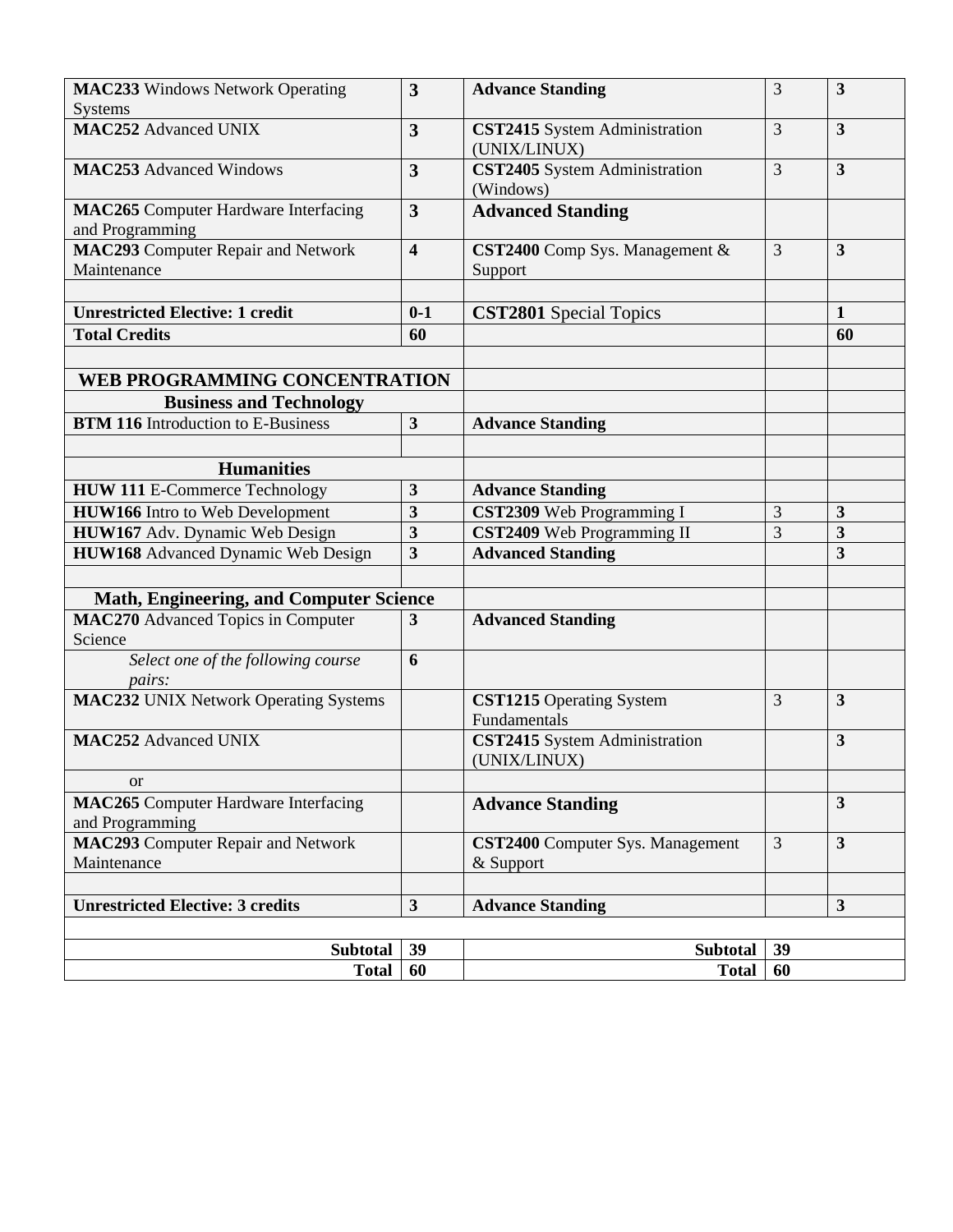| <b>MAC233</b> Windows Network Operating<br><b>Systems</b>                   | 3                       | <b>Advance Standing</b>                              | 3              | 3                       |
|-----------------------------------------------------------------------------|-------------------------|------------------------------------------------------|----------------|-------------------------|
| <b>MAC252 Advanced UNIX</b>                                                 | 3                       | CST2415 System Administration<br>(UNIX/LINUX)        | 3              | $\overline{3}$          |
| <b>MAC253</b> Advanced Windows                                              | $\overline{\mathbf{3}}$ | CST2405 System Administration<br>(Windows)           | 3              | $\overline{\mathbf{3}}$ |
| <b>MAC265</b> Computer Hardware Interfacing<br>and Programming              | $\mathbf{3}$            | <b>Advanced Standing</b>                             |                |                         |
| <b>MAC293</b> Computer Repair and Network<br>Maintenance                    | $\overline{\mathbf{4}}$ | CST2400 Comp Sys. Management &<br>Support            | $\overline{3}$ | $\overline{\mathbf{3}}$ |
|                                                                             |                         |                                                      |                |                         |
| <b>Unrestricted Elective: 1 credit</b>                                      | $0 - 1$                 | <b>CST2801</b> Special Topics                        |                | $\mathbf{1}$            |
| <b>Total Credits</b>                                                        | 60                      |                                                      |                | 60                      |
|                                                                             |                         |                                                      |                |                         |
| WEB PROGRAMMING CONCENTRATION                                               |                         |                                                      |                |                         |
| <b>Business and Technology</b><br><b>BTM 116</b> Introduction to E-Business | $\mathbf{3}$            |                                                      |                |                         |
|                                                                             |                         | <b>Advance Standing</b>                              |                |                         |
| <b>Humanities</b>                                                           |                         |                                                      |                |                         |
| <b>HUW 111 E-Commerce Technology</b>                                        | 3                       | <b>Advance Standing</b>                              |                |                         |
| <b>HUW166</b> Intro to Web Development                                      | 3                       | CST2309 Web Programming I                            | 3              | $\overline{\mathbf{3}}$ |
| HUW167 Adv. Dynamic Web Design                                              | $\mathbf{3}$            | CST2409 Web Programming II                           | 3              | 3                       |
| <b>HUW168</b> Advanced Dynamic Web Design                                   | $\overline{\mathbf{3}}$ | <b>Advanced Standing</b>                             |                | $\overline{3}$          |
|                                                                             |                         |                                                      |                |                         |
| <b>Math, Engineering, and Computer Science</b>                              |                         |                                                      |                |                         |
| <b>MAC270</b> Advanced Topics in Computer<br>Science                        | 3                       | <b>Advanced Standing</b>                             |                |                         |
| Select one of the following course<br>pairs:                                | 6                       |                                                      |                |                         |
| <b>MAC232 UNIX Network Operating Systems</b>                                |                         | <b>CST1215</b> Operating System<br>Fundamentals      | 3              | $\overline{3}$          |
| <b>MAC252 Advanced UNIX</b>                                                 |                         | CST2415 System Administration<br>(UNIX/LINUX)        |                | $\mathbf{3}$            |
| <b>or</b>                                                                   |                         |                                                      |                |                         |
| <b>MAC265</b> Computer Hardware Interfacing<br>and Programming              |                         | <b>Advance Standing</b>                              |                | $\overline{\mathbf{3}}$ |
| <b>MAC293</b> Computer Repair and Network<br>Maintenance                    |                         | <b>CST2400</b> Computer Sys. Management<br>& Support | 3              | $\mathbf{3}$            |
| <b>Unrestricted Elective: 3 credits</b>                                     | $\overline{\mathbf{3}}$ | <b>Advance Standing</b>                              |                | $\mathbf{3}$            |
|                                                                             |                         |                                                      |                |                         |
| 39<br><b>Subtotal</b><br><b>Subtotal</b><br>39                              |                         |                                                      |                |                         |
| <b>Total</b>                                                                | 60                      | <b>Total</b>                                         | 60             |                         |
|                                                                             |                         |                                                      |                |                         |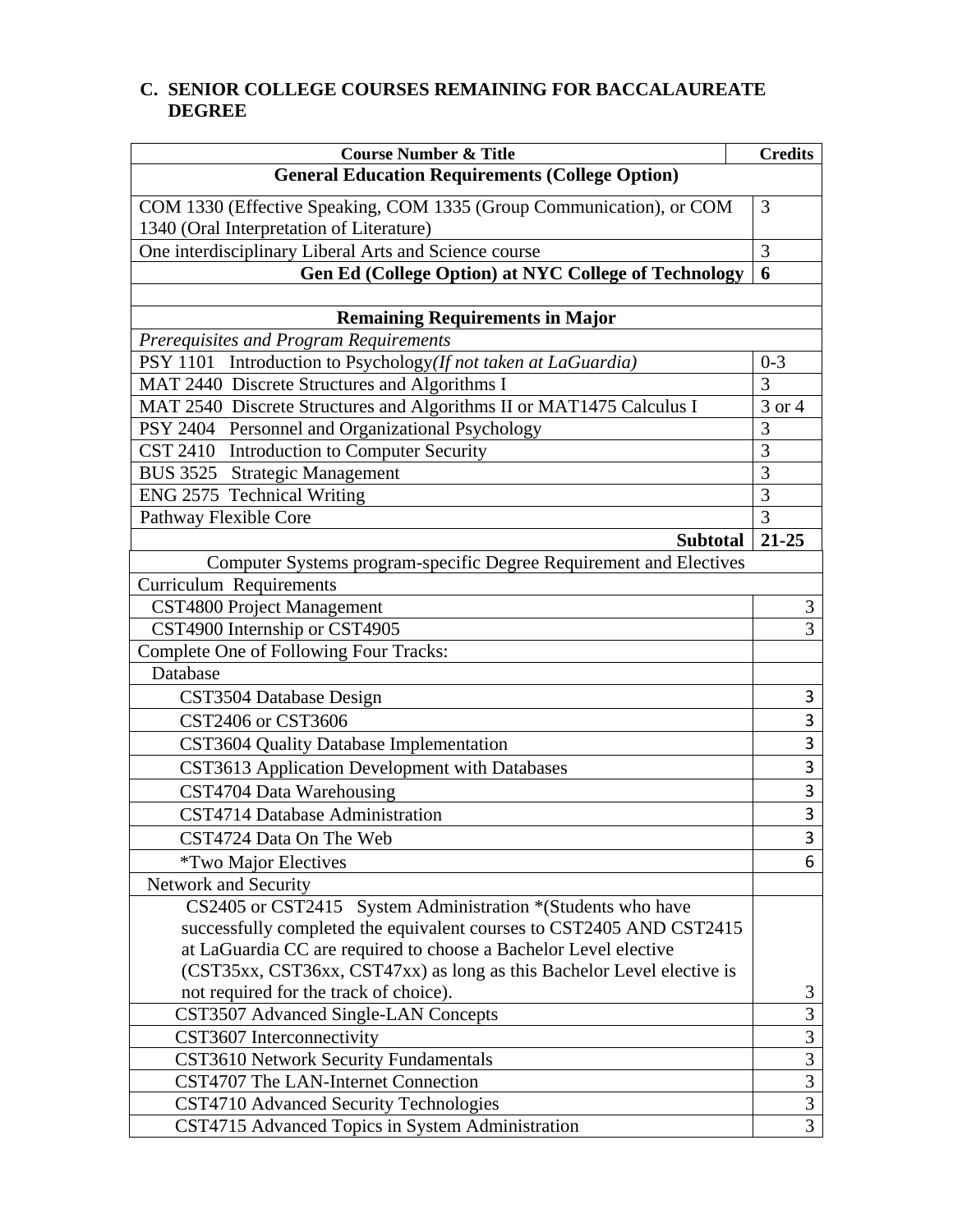# **C. SENIOR COLLEGE COURSES REMAINING FOR BACCALAUREATE DEGREE**

| <b>Course Number &amp; Title</b>                                         | <b>Credits</b>          |
|--------------------------------------------------------------------------|-------------------------|
| <b>General Education Requirements (College Option)</b>                   |                         |
| COM 1330 (Effective Speaking, COM 1335 (Group Communication), or COM     | 3                       |
| 1340 (Oral Interpretation of Literature)                                 |                         |
| One interdisciplinary Liberal Arts and Science course                    | 3                       |
| <b>Gen Ed (College Option) at NYC College of Technology</b>              | 6                       |
|                                                                          |                         |
| <b>Remaining Requirements in Major</b>                                   |                         |
| Prerequisites and Program Requirements                                   |                         |
| Introduction to Psychology(If not taken at LaGuardia)<br><b>PSY 1101</b> | $0 - 3$                 |
| MAT 2440 Discrete Structures and Algorithms I                            | 3                       |
| MAT 2540 Discrete Structures and Algorithms II or MAT1475 Calculus I     | 3 or 4                  |
| PSY 2404 Personnel and Organizational Psychology                         | 3                       |
| CST 2410 Introduction to Computer Security                               | 3                       |
| BUS 3525 Strategic Management                                            | 3                       |
| ENG 2575 Technical Writing                                               | 3                       |
| Pathway Flexible Core                                                    | 3                       |
| <b>Subtotal</b>                                                          | $21 - 25$               |
| Computer Systems program-specific Degree Requirement and Electives       |                         |
| <b>Curriculum Requirements</b>                                           |                         |
| CST4800 Project Management                                               | 3                       |
| CST4900 Internship or CST4905                                            | $\overline{3}$          |
| Complete One of Following Four Tracks:                                   |                         |
| Database                                                                 |                         |
| CST3504 Database Design                                                  | 3                       |
| CST2406 or CST3606                                                       | 3                       |
| CST3604 Quality Database Implementation                                  | 3                       |
| CST3613 Application Development with Databases                           | 3                       |
| CST4704 Data Warehousing                                                 | $\overline{3}$          |
| CST4714 Database Administration                                          | $\overline{3}$          |
| CST4724 Data On The Web                                                  | 3                       |
| <i>*Two Major Electives</i>                                              | 6                       |
| Network and Security                                                     |                         |
| CS2405 or CST2415 System Administration *(Students who have              |                         |
| successfully completed the equivalent courses to CST2405 AND CST2415     |                         |
| at LaGuardia CC are required to choose a Bachelor Level elective         |                         |
| (CST35xx, CST36xx, CST47xx) as long as this Bachelor Level elective is   |                         |
| not required for the track of choice).                                   | 3                       |
| CST3507 Advanced Single-LAN Concepts                                     | 3                       |
| CST3607 Interconnectivity                                                | 3                       |
| <b>CST3610 Network Security Fundamentals</b>                             | 3                       |
| CST4707 The LAN-Internet Connection                                      | 3                       |
| CST4710 Advanced Security Technologies                                   | $\overline{\mathbf{3}}$ |
| CST4715 Advanced Topics in System Administration                         | $\overline{3}$          |